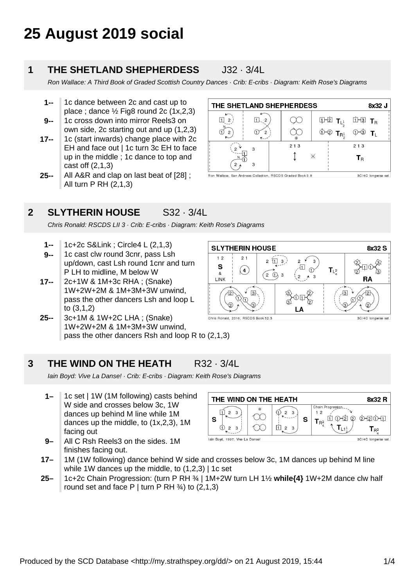# **25 August 2019 social**

# **1 THE SHETLAND SHEPHERDESS** J32 · 3/4L

Ron Wallace: A Third Book of Graded Scottish Country Dances · Crib: E-cribs · Diagram: Keith Rose's Diagrams

- **1--** 1c dance between 2c and cast up to place ; dance  $\frac{1}{2}$  Fig8 round 2c (1x, 2, 3)
- **9--** 1c cross down into mirror Reels3 on own side, 2c starting out and up (1,2,3)
- **17--** 1c (start inwards) change place with 2c EH and face out | 1c turn 3c EH to face up in the middle ; 1c dance to top and cast off (2,1,3)
- **25--** All A&R and clap on last beat of [28] ; All turn P RH (2,1,3)

# **2 SLYTHERIN HOUSE** S32 · 3/4L

Chris Ronald: RSCDS LII 3 · Crib: E-cribs · Diagram: Keith Rose's Diagrams

- **1--** 1c+2c S&Link ; Circle4 L (2,1,3)
- **9--** 1c cast clw round 3cnr, pass Lsh up/down, cast Lsh round 1cnr and turn P LH to midline, M below W
- **17--** 2c+1W & 1M+3c RHA ; (Snake) 1W+2W+2M & 1M+3M+3W unwind, pass the other dancers Lsh and loop L to (3,1,2)
- 3c+1M & 1W+2C LHA ; (Snake) **25--** Chris Ronald, 2016, RSCDS Book 52.3 1W+2W+2M & 1M+3M+3W unwind, pass the other dancers Rsh and loop R to (2,1,3)



Iain Boyd: Vive La Danse! · Crib: E-cribs · Diagram: Keith Rose's Diagrams

**1–** 1c set | 1W (1M following) casts behind W side and crosses below 3c, 1W dances up behind M line while 1M dances up the middle, to (1x,2,3), 1M facing out

| THE WIND ON THE HEATH           | 8x32 R  |                  |                                                                                   |
|---------------------------------|---------|------------------|-----------------------------------------------------------------------------------|
| з<br>S<br>3<br>◠                | $\odot$ | 3<br>2<br>3<br>ົ | Chain Progression.<br>2<br>2<br>ົດ<br>s<br>$\mathsf{T}_{\mathsf{B}_4^3}$<br>$R^3$ |
| Iain Boyd, 1997, Vive La Danse! |         |                  | 3C/4C longwise set.                                                               |

- **9–** All C Rsh Reels3 on the sides. 1M finishes facing out.
- **17–** 1M (1W following) dance behind W side and crosses below 3c, 1M dances up behind M line while 1W dances up the middle, to (1,2,3) | 1c set
- **25–** 1c+2c Chain Progression: (turn P RH ¾ | 1M+2W turn LH 1½ **while{4}** 1W+2M dance clw half round set and face P | turn P RH  $\frac{3}{4}$  to (2,1,3)



Ron Wallace, San Andreas Collection, RSCDS Graded Book 3.8

 $2 \text{ } 1 \text{ } 3$ 

 $2$   $\circledR$ 

3

 $T_{L^3}$ 

 $\sqrt{3}$ 

**SLYTHERIN HOUSE** 

 $21$ 

 $\left( \begin{matrix} 4 \end{matrix} \right)$ 

নি

 $3$ 

 $12$ 

S

LINK

 $\sqrt{2}$ 

ာ

3C/4C longwise set.

8x32 S

กส่

RA

 $\overline{2}$ 

 $^{\circ}$ 

3C/4C longwise set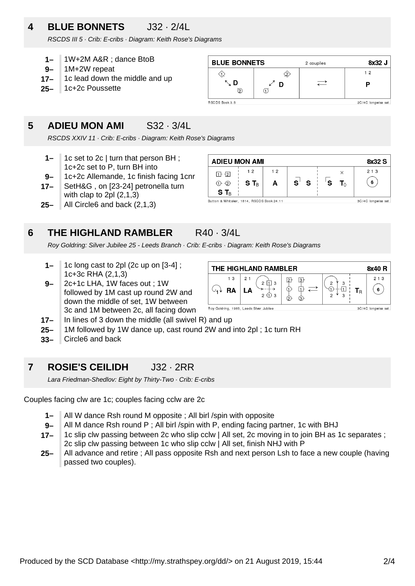# **4 BLUE BONNETS** J32 · 2/4L

RSCDS III 5 · Crib: E-cribs · Diagram: Keith Rose's Diagrams

- **1–** 1W+2M A&R ; dance BtoB
- **9–** 1M+2W repeat
- **17–** 1c lead down the middle and up
- **25–** 1c+2c Poussette



### **5 ADIEU MON AMI** S32 · 3/4L

RSCDS XXIV 11 · Crib: E-cribs · Diagram: Keith Rose's Diagrams

- **1–** 1c set to 2c | turn that person BH ; 1c+2c set to P, turn BH into
- **9–** 1c+2c Allemande, 1c finish facing 1cnr
- **17–** SetH&G , on [23-24] petronella turn with clap to 2pl (2,1,3)
- **25–** All Circle6 and back (2,1,3)

#### **6 THE HIGHLAND RAMBLER** R40 · 3/4L

**ADIEU MON AMI** 8x32 S  $213$  $12$  $12$  $1 + 2$  $\mathbf{s}^{\scriptscriptstyle\top}$ ( 6 ົ **S** ۱s  $T<sub>0</sub>$  $\bigoplus$   $\bigoplus$ A  $S T_R$  $S T_B$ Button & Whitaker, 1814, RSCDS Book 24.11 3C/4C longwise set

Roy Goldring: Silver Jubilee 25 - Leeds Branch · Crib: E-cribs · Diagram: Keith Rose's Diagrams

- **1–** 1c long cast to 2pl (2c up on [3-4] ; 1c+3c RHA (2,1,3)
- **9–** 2c+1c LHA, 1W faces out ; 1W followed by 1M cast up round 2W and down the middle of set, 1W between 3c and 1M between 2c, all facing down

| 1 <sub>3</sub><br>2 1 3<br>21<br>12<br>13<br>2<br>2<br>3<br>6<br>Α<br>RA<br>B<br>2 <sup>(1)</sup><br>-3<br>ີ<br>3.<br>10 <sub>r</sub> | THE HIGHLAND RAMBLER<br>8x40 R |  |  |  |  |  |  |
|---------------------------------------------------------------------------------------------------------------------------------------|--------------------------------|--|--|--|--|--|--|
|                                                                                                                                       |                                |  |  |  |  |  |  |

Roy Goldring, 1985, Leeds Silver Jubilee

- **17–** In lines of 3 down the middle (all swivel R) and up
- **25–** 1M followed by 1W dance up, cast round 2W and into 2pl ; 1c turn RH
- **33–** Circle6 and back

#### **7 ROSIE'S CEILIDH** J32 · 2RR

Lara Friedman-Shedlov: Eight by Thirty-Two · Crib: E-cribs

Couples facing clw are 1c; couples facing cclw are 2c

- **1–** All W dance Rsh round M opposite ; All birl /spin with opposite
- **9–** All M dance Rsh round P ; All birl /spin with P, ending facing partner, 1c with BHJ
- **17–** 1c slip clw passing between 2c who slip cclw | All set, 2c moving in to join BH as 1c separates ; 2c slip clw passing between 1c who slip cclw | All set, finish NHJ with P
- **25–** All advance and retire ; All pass opposite Rsh and next person Lsh to face a new couple (having passed two couples).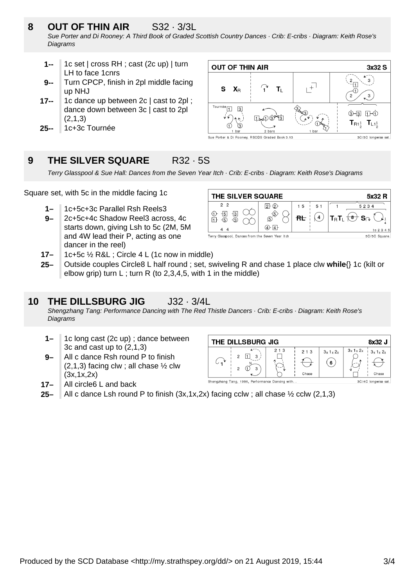- **8 OUT OF THIN AIR** S32 · 3/3L Sue Porter and Di Rooney: A Third Book of Graded Scottish Country Dances · Crib: E-cribs · Diagram: Keith Rose's **Diagrams** 
	- **1--** 1c set | cross RH ; cast (2c up) | turn LH to face 1cnrs
	- **9--** Turn CPCP, finish in 2pl middle facing up NHJ
	- **17--** 1c dance up between 2c | cast to 2pl ; dance down between 3c | cast to 2pl (2,1,3)
	- **25--** 1c+3c Tournée



# **9 THE SILVER SQUARE** R32 · 5S

Terry Glasspool & Sue Hall: Dances from the Seven Year Itch · Crib: E-cribs · Diagram: Keith Rose's Diagrams

Square set, with 5c in the middle facing 1c

- **1–** 1c+5c+3c Parallel Rsh Reels3
- **9–** 2c+5c+4c Shadow Reel3 across, 4c starts down, giving Lsh to 5c (2M, 5M and 4W lead their P, acting as one dancer in the reel)



- **17–** 1c+5c ½ R&L ; Circle 4 L (1c now in middle)
- **25–** Outside couples Circle8 L half round ; set, swiveling R and chase 1 place clw **while**{} 1c (kilt or elbow grip) turn L ; turn R (to 2,3,4,5, with 1 in the middle)

## **10 THE DILLSBURG JIG J32 · 3/4L**

Shengzhang Tang: Performance Dancing with The Red Thistle Dancers · Crib: E-cribs · Diagram: Keith Rose's **Diagrams** 

- **1–** 1c long cast (2c up) ; dance between 3c and cast up to (2,1,3)
- **9–** All c dance Rsh round P to finish  $(2,1,3)$  facing clw; all chase  $\frac{1}{2}$  clw (3x,1x,2x)



- **17–** All circle6 L and back
- **25–** All c dance Lsh round P to finish  $(3x,1x,2x)$  facing cclw; all chase  $\frac{1}{2}$  cclw  $(2,1,3)$